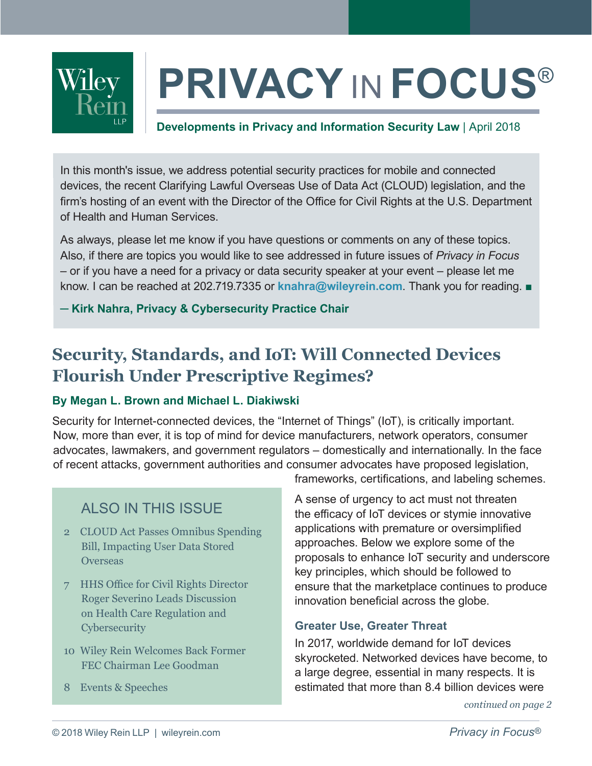

# **PRIVACY** IN **FOCUS**®

#### **Developments in Privacy and Information Security Law** | April 2018

In this month's issue, we address potential security practices for mobile and connected devices, the recent Clarifying Lawful Overseas Use of Data Act (CLOUD) legislation, and the firm's hosting of an event with the Director of the Office for Civil Rights at the U.S. Department of Health and Human Services.

As always, please let me know if you have questions or comments on any of these topics. Also, if there are topics you would like to see addressed in future issues of *Privacy in Focus* – or if you have a need for a privacy or data security speaker at your event – please let me know. I can be reached at 202.719.7335 or **[knahra@wileyrein.com](mailto:knahra%40wileyrein.com?subject=)**. Thank you for reading. ■

**─ [Kirk Nahra, Privacy & Cybersecurity Practice Chair](https://www.wileyrein.com/professionals-KirkNahra.html)**

## **Security, Standards, and IoT: Will Connected Devices Flourish Under Prescriptive Regimes?**

#### **By Megan L. Brown and Michael L. Diakiwski**

Security for Internet-connected devices, the "Internet of Things" (IoT), is critically important. Now, more than ever, it is top of mind for device manufacturers, network operators, consumer advocates, lawmakers, and government regulators – domestically and internationally. In the face of recent attacks, government authorities and consumer advocates have proposed legislation,

### ALSO IN THIS ISSUE

- 2 [CLOUD Act Passes Omnibus Spending](#page-1-0)  [Bill, Impacting User Data Stored](#page-1-0)  **[Overseas](#page-1-0)**
- 7 [HHS Office for Civil Rights Director](#page-6-0)  [Roger Severino Leads Discussion](#page-6-0)  [on Health Care Regulation and](#page-6-0)  **[Cybersecurity](#page-6-0)**
- 10 [Wiley Rein Welcomes Back Former](#page-9-0)  [FEC Chairman Lee Goodman](#page-9-0)
- 8 [Events & Speeches](#page-7-0)

frameworks, certifications, and labeling schemes.

A sense of urgency to act must not threaten the efficacy of IoT devices or stymie innovative applications with premature or oversimplified approaches. Below we explore some of the proposals to enhance IoT security and underscore key principles, which should be followed to ensure that the marketplace continues to produce innovation beneficial across the globe.

#### **Greater Use, Greater Threat**

In 2017, worldwide demand for IoT devices skyrocketed. Networked devices have become, to a large degree, essential in many respects. It is estimated that more than 8.4 billion devices were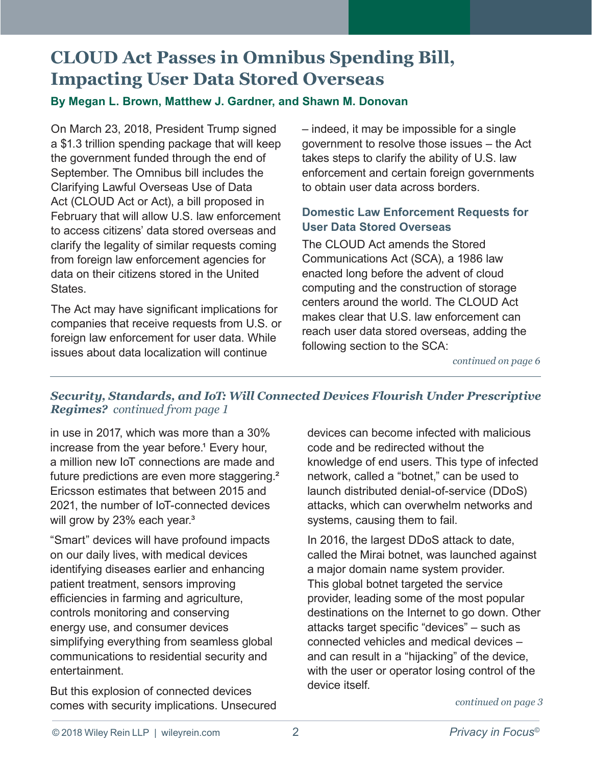## <span id="page-1-0"></span>**CLOUD Act Passes in Omnibus Spending Bill, Impacting User Data Stored Overseas**

#### **By Megan L. Brown, Matthew J. Gardner, and Shawn M. Donovan**

On March 23, 2018, President Trump signed a \$1.3 trillion spending package that will keep the government funded through the end of September. The Omnibus bill includes the Clarifying Lawful Overseas Use of Data Act (CLOUD Act or Act), a bill proposed in February that will allow U.S. law enforcement to access citizens' data stored overseas and clarify the legality of similar requests coming from foreign law enforcement agencies for data on their citizens stored in the United States.

The Act may have significant implications for companies that receive requests from U.S. or foreign law enforcement for user data. While issues about data localization will continue

– indeed, it may be impossible for a single government to resolve those issues – the Act takes steps to clarify the ability of U.S. law enforcement and certain foreign governments to obtain user data across borders.

#### **Domestic Law Enforcement Requests for User Data Stored Overseas**

The CLOUD Act amends the Stored Communications Act (SCA), a 1986 law enacted long before the advent of cloud computing and the construction of storage centers around the world. The CLOUD Act makes clear that U.S. law enforcement can reach user data stored overseas, adding the following section to the SCA:

*[continued on page](#page-5-0) 6*

#### *Security, Standards, and IoT: Will Connected Devices Flourish Under Prescriptive Regimes? continued from page 1*

in use in 2017, which was more than a 30% increase from the year before.<sup>1</sup> Every hour, a million new IoT connections are made and future predictions are even more staggering.<sup>2</sup> Ericsson estimates that between 2015 and 2021, the number of IoT-connected devices will grow by 23% each year.<sup>3</sup>

"Smart" devices will have profound impacts on our daily lives, with medical devices identifying diseases earlier and enhancing patient treatment, sensors improving efficiencies in farming and agriculture, controls monitoring and conserving energy use, and consumer devices simplifying everything from seamless global communications to residential security and entertainment.

But this explosion of connected devices comes with security implications. Unsecured devices can become infected with malicious code and be redirected without the knowledge of end users. This type of infected network, called a "botnet," can be used to launch distributed denial-of-service (DDoS) attacks, which can overwhelm networks and systems, causing them to fail.

In 2016, the largest DDoS attack to date, called the Mirai botnet, was launched against a major domain name system provider. This global botnet targeted the service provider, leading some of the most popular destinations on the Internet to go down. Other attacks target specific "devices" – such as connected vehicles and medical devices – and can result in a "hijacking" of the device, with the user or operator losing control of the device itself.

*[continued on page](#page-2-0) 3*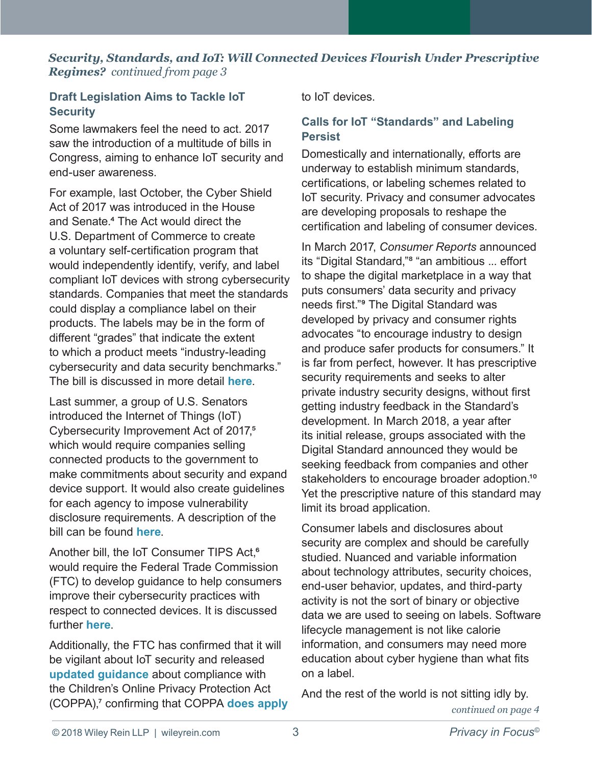#### <span id="page-2-0"></span>*Security, Standards, and IoT: Will Connected Devices Flourish Under Prescriptive Regimes? continued from page 3*

#### **Draft Legislation Aims to Tackle IoT Security**

Some lawmakers feel the need to act. 2017 saw the introduction of a multitude of bills in Congress, aiming to enhance IoT security and end-user awareness.

For example, last October, the Cyber Shield Act of 2017 was introduced in the House and Senate.<sup>4</sup> The Act would direct the U.S. Department of Commerce to create a voluntary self-certification program that would independently identify, verify, and label compliant IoT devices with strong cybersecurity standards. Companies that meet the standards could display a compliance label on their products. The labels may be in the form of different "grades" that indicate the extent to which a product meets "industry-leading cybersecurity and data security benchmarks." The bill is discussed in more detail **[here](http://www.wileyconnect.com/home/2017/10/30/cyber-shield-legislation-protecting-iot-users-or-stifling-innovation)**.

Last summer, a group of U.S. Senators introduced the Internet of Things (IoT) Cybersecurity Improvement Act of 2017,<sup>5</sup> which would require companies selling connected products to the government to make commitments about security and expand device support. It would also create guidelines for each agency to impose vulnerability disclosure requirements. A description of the bill can be found **[here](http://www.wileyconnect.com/home/2017/8/2/draft-iot-legislation-increases-obligations-on-contractors-and-promotes-vulnerability-disclosure)**.

Another bill, the IoT Consumer TIPS Act,<sup>6</sup> would require the Federal Trade Commission (FTC) to develop guidance to help consumers improve their cybersecurity practices with respect to connected devices. It is discussed further **[here](http://www.wileyconnect.com/home/2017/12/15/senate-bill-aims-to-help-consumers-get-savvy-on-iot-cybersecurity)**.

Additionally, the FTC has confirmed that it will be vigilant about IoT security and released **[updated guidance](https://www.ftc.gov/tips-advice/business-center/guidance/childrens-online-privacy-protection-rule-six-step-compliance#step1)** about compliance with the Children's Online Privacy Protection Act (COPPA),[⁷](#page-4-0) confirming that COPPA **[does apply](http://www.wileyconnect.com/home/2017/6/26/broad-reach-of-coppa-extends-to-iot)** to IoT devices.

#### **Calls for IoT "Standards" and Labeling Persist**

Domestically and internationally, efforts are underway to establish minimum standards, certifications, or labeling schemes related to IoT security. Privacy and consumer advocates are developing proposals to reshape the certification and labeling of consumer devices.

In March 2017, *Consumer Reports* announced its "Digital Standard,"<sup>8</sup> "an ambitious ... effort to shape the digital marketplace in a way that puts consumers' data security and privacy needs first."<sup>9</sup> The Digital Standard was developed by privacy and consumer rights advocates "to encourage industry to design and produce safer products for consumers." It is far from perfect, however. It has prescriptive security requirements and seeks to alter private industry security designs, without first getting industry feedback in the Standard's development. In March 2018, a year after its initial release, groups associated with the Digital Standard announced they would be seeking feedback from companies and other stakeholders to encourage broader adoption.<sup>10</sup> Yet the prescriptive nature of this standard may limit its broad application.

Consumer labels and disclosures about security are complex and should be carefully studied. Nuanced and variable information about technology attributes, security choices, end-user behavior, updates, and third-party activity is not the sort of binary or objective data we are used to seeing on labels. Software lifecycle management is not like calorie information, and consumers may need more education about cyber hygiene than what fits on a label.

*[continued on page](#page-3-0) 4* And the rest of the world is not sitting idly by.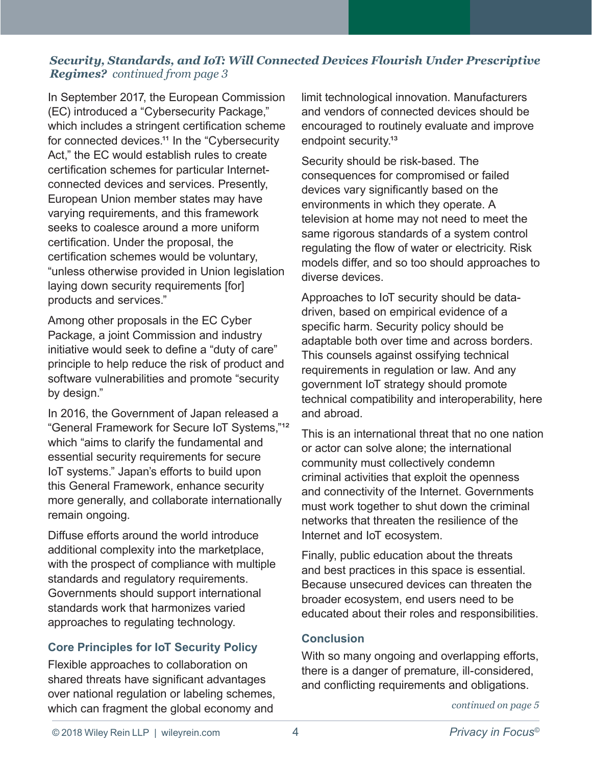#### <span id="page-3-0"></span>*Security, Standards, and IoT: Will Connected Devices Flourish Under Prescriptive Regimes? continued from page 3*

In September 2017, the European Commission (EC) introduced a "Cybersecurity Package," which includes a stringent certification scheme for connected devices.<sup>11</sup> In the "Cybersecurity" Act," the EC would establish rules to create certification schemes for particular Internetconnected devices and services. Presently, European Union member states may have varying requirements, and this framework seeks to coalesce around a more uniform certification. Under the proposal, the certification schemes would be voluntary, "unless otherwise provided in Union legislation laying down security requirements [for] products and services."

Among other proposals in the EC Cyber Package, a joint Commission and industry initiative would seek to define a "duty of care" principle to help reduce the risk of product and software vulnerabilities and promote "security by design."

In 2016, the Government of Japan released a "General Framework for Secure IoT Systems,"<sup>12</sup> which "aims to clarify the fundamental and essential security requirements for secure IoT systems." Japan's efforts to build upon this General Framework, enhance security more generally, and collaborate internationally remain ongoing.

Diffuse efforts around the world introduce additional complexity into the marketplace, with the prospect of compliance with multiple standards and regulatory requirements. Governments should support international standards work that harmonizes varied approaches to regulating technology.

#### **Core Principles for IoT Security Policy**

Flexible approaches to collaboration on shared threats have significant advantages over national regulation or labeling schemes, which can fragment the global economy and

limit technological innovation. Manufacturers and vendors of connected devices should be encouraged to routinely evaluate and improve endpoint security.<sup>13</sup>

Security should be risk-based. The consequences for compromised or failed devices vary significantly based on the environments in which they operate. A television at home may not need to meet the same rigorous standards of a system control regulating the flow of water or electricity. Risk models differ, and so too should approaches to diverse devices.

Approaches to IoT security should be datadriven, based on empirical evidence of a specific harm. Security policy should be adaptable both over time and across borders. This counsels against ossifying technical requirements in regulation or law. And any government IoT strategy should promote technical compatibility and interoperability, here and abroad.

This is an international threat that no one nation or actor can solve alone; the international community must collectively condemn criminal activities that exploit the openness and connectivity of the Internet. Governments must work together to shut down the criminal networks that threaten the resilience of the Internet and IoT ecosystem.

Finally, public education about the threats and best practices in this space is essential. Because unsecured devices can threaten the broader ecosystem, end users need to be educated about their roles and responsibilities.

#### **Conclusion**

With so many ongoing and overlapping efforts, there is a danger of premature, ill-considered, and conflicting requirements and obligations.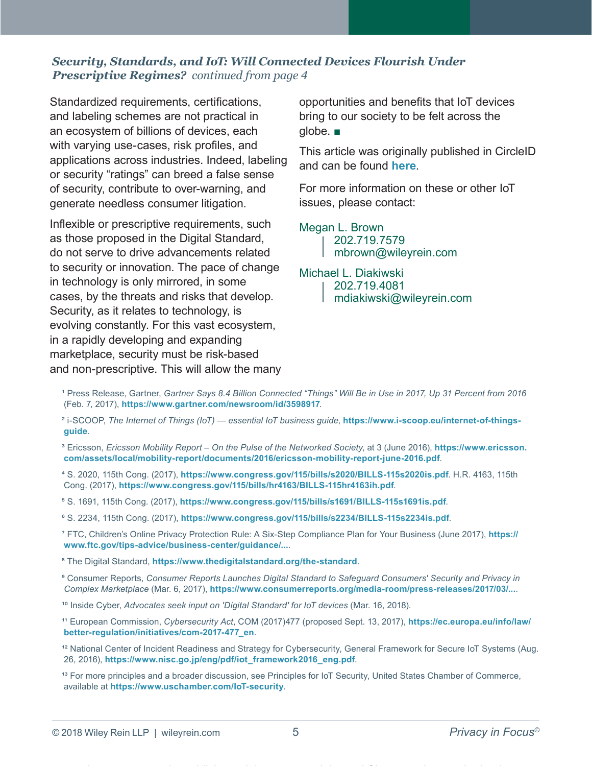#### <span id="page-4-0"></span>*Security, Standards, and IoT: Will Connected Devices Flourish Under Prescriptive Regimes? continued from page 4*

Standardized requirements, certifications, and labeling schemes are not practical in an ecosystem of billions of devices, each with varying use-cases, risk profiles, and applications across industries. Indeed, labeling or security "ratings" can breed a false sense of security, contribute to over-warning, and generate needless consumer litigation.

Inflexible or prescriptive requirements, such as those proposed in the Digital Standard, do not serve to drive advancements related to security or innovation. The pace of change in technology is only mirrored, in some cases, by the threats and risks that develop. Security, as it relates to technology, is evolving constantly. For this vast ecosystem, in a rapidly developing and expanding marketplace, security must be risk-based and non-prescriptive. This will allow the many opportunities and benefits that IoT devices bring to our society to be felt across the globe. ■

This article was originally published in CircleID and can be found **[here](http://www.circleid.com/posts/20180329_security_standards_and_iot_will_connected_devices_flourish_under/)**.

For more information on these or other IoT issues, please contact:

[Megan L. Brown](https://www.wileyrein.com/professionals-MeganBrown.html)

202.719.7579 mbrown[@wileyrein.com](mailto:jlin%40wileyrein.com?subject=)

#### [Michael L. Diakiwski](https://www.wileyrein.com/professionals-MichaelDiakiwski.html)

- 202.719.4081
- mdiakiwski[@wileyrein.com](mailto:mdiakiwski%40wileyrein.com?subject=)

- ¹ Press Release, Gartner, *Gartner Says 8.4 Billion Connected "Things" Will Be in Use in 2017, Up 31 Percent from 2016* (Feb. 7, 2017), **<https://www.gartner.com/newsroom/id/3598917>**.
- ² i-SCOOP, *The Internet of Things (IoT) essential IoT business guide*, **[https://www.i-scoop.eu/internet-of-things](https://www.i-scoop.eu/internet-of-things-guide)[guide](https://www.i-scoop.eu/internet-of-things-guide)**.
- ³ Ericsson, *Ericsson Mobility Report On the Pulse of the Networked Society*, at 3 (June 2016), **[https://www.ericsson.](https://www.ericsson.com/assets/local/mobility-report/documents/2016/ericsson-mobility-report-june-2) [com/assets/local/mobility-report/documents/2016/ericsson-mobility-report-june-2016.pdf](https://www.ericsson.com/assets/local/mobility-report/documents/2016/ericsson-mobility-report-june-2)**.
- ⁴ S. 2020, 115th Cong. (2017), **<https://www.congress.gov/115/bills/s2020/BILLS-115s2020is.pdf>**. H.R. 4163, 115th Cong. (2017), **<https://www.congress.gov/115/bills/hr4163/BILLS-115hr4163ih.pdf>**.
- ⁵ S. 1691, 115th Cong. (2017), **<https://www.congress.gov/115/bills/s1691/BILLS-115s1691is.pdf>**.
- ⁶ S. 2234, 115th Cong. (2017), **<https://www.congress.gov/115/bills/s2234/BILLS-115s2234is.pdf>**.
- ⁷ FTC, Children's Online Privacy Protection Rule: A Six-Step Compliance Plan for Your Business (June 2017), **[https://](https://www.ftc.gov/tips-advice/business-center/guidance/...) [www.ftc.gov/tips-advice/business-center/guidance/...](https://www.ftc.gov/tips-advice/business-center/guidance/...)**.

⁸ The Digital Standard, **<https://www.thedigitalstandard.org/the-standard>**.

- ⁹ Consumer Reports, *Consumer Reports Launches Digital Standard to Safeguard Consumers' Security and Privacy in Complex Marketplace* (Mar. 6, 2017), **<https://www.consumerreports.org/media-room/press-releases/2017/03/...>**.
- <sup>10</sup> Inside Cyber, Advocates seek input on 'Digital Standard' for IoT devices (Mar. 16, 2018).
- <sup>11</sup> European Commission, *Cybersecurity Act*, COM (2017)477 (proposed Sept. 13, 2017), [https://ec.europa.eu/info/law/](https://ec.europa.eu/info/law/better-regulation/initiatives/com-2017-477_en) **[better-regulation/initiatives/com-2017-477\\_en](https://ec.europa.eu/info/law/better-regulation/initiatives/com-2017-477_en)**.
- <sup>12</sup> National Center of Incident Readiness and Strategy for Cybersecurity, General Framework for Secure IoT Systems (Aug. 26, 2016), **[https://www.nisc.go.jp/eng/pdf/iot\\_framework2016\\_eng.pdf](https://www.nisc.go.jp/eng/pdf/iot_framework2016_eng.pdf)**.
- <sup>13</sup> For more principles and a broader discussion, see Principles for IoT Security, United States Chamber of Commerce, available at **<https://www.uschamber.com/IoT-security>**.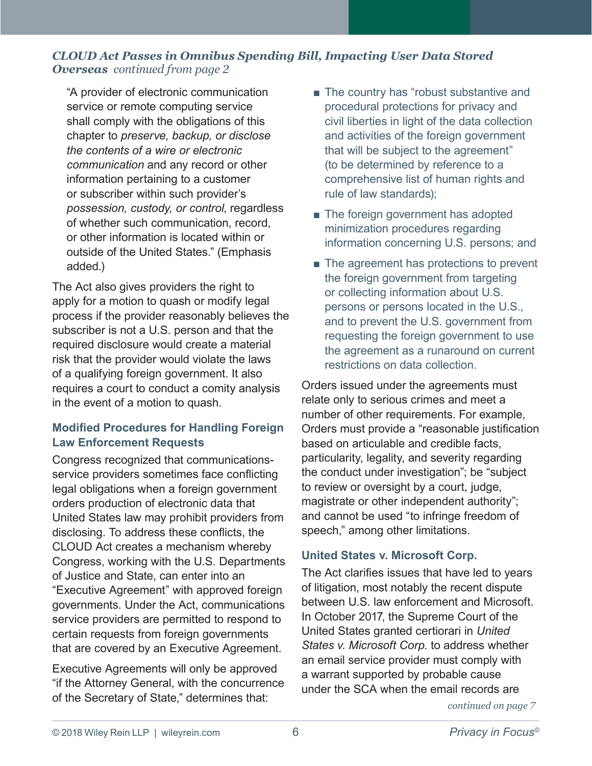#### <span id="page-5-0"></span>*CLOUD Act Passes in Omnibus Spending Bill, Impacting User Data Stored Overseas continued from page 2*

"A provider of electronic communication service or remote computing service shall comply with the obligations of this chapter to *preserve, backup, or disclose the contents of a wire or electronic communication* and any record or other information pertaining to a customer or subscriber within such provider's *possession, custody, or control*, regardless of whether such communication, record, or other information is located within or outside of the United States." (Emphasis added.)

The Act also gives providers the right to apply for a motion to quash or modify legal process if the provider reasonably believes the subscriber is not a U.S. person and that the required disclosure would create a material risk that the provider would violate the laws of a qualifying foreign government. It also requires a court to conduct a comity analysis in the event of a motion to quash.

#### **Modified Procedures for Handling Foreign Law Enforcement Requests**

Congress recognized that communicationsservice providers sometimes face conflicting legal obligations when a foreign government orders production of electronic data that United States law may prohibit providers from disclosing. To address these conflicts, the CLOUD Act creates a mechanism whereby Congress, working with the U.S. Departments of Justice and State, can enter into an "Executive Agreement" with approved foreign governments. Under the Act, communications service providers are permitted to respond to certain requests from foreign governments that are covered by an Executive Agreement.

Executive Agreements will only be approved "if the Attorney General, with the concurrence of the Secretary of State," determines that:

- The country has "robust substantive and procedural protections for privacy and civil liberties in light of the data collection and activities of the foreign government that will be subject to the agreement" (to be determined by reference to a comprehensive list of human rights and rule of law standards);
- The foreign government has adopted minimization procedures regarding information concerning U.S. persons; and
- The agreement has protections to prevent the foreign government from targeting or collecting information about U.S. persons or persons located in the U.S., and to prevent the U.S. government from requesting the foreign government to use the agreement as a runaround on current restrictions on data collection.

Orders issued under the agreements must relate only to serious crimes and meet a number of other requirements. For example, Orders must provide a "reasonable justification based on articulable and credible facts, particularity, legality, and severity regarding the conduct under investigation"; be "subject to review or oversight by a court, judge, magistrate or other independent authority"; and cannot be used "to infringe freedom of speech," among other limitations.

#### **United States v. Microsoft Corp.**

The Act clarifies issues that have led to years of litigation, most notably the recent dispute between U.S. law enforcement and Microsoft. In October 2017, the Supreme Court of the United States granted certiorari in *United States v. Microsoft Corp.* to address whether an email service provider must comply with a warrant supported by probable cause under the SCA when the email records are

*[continued on page](#page-6-0) 7*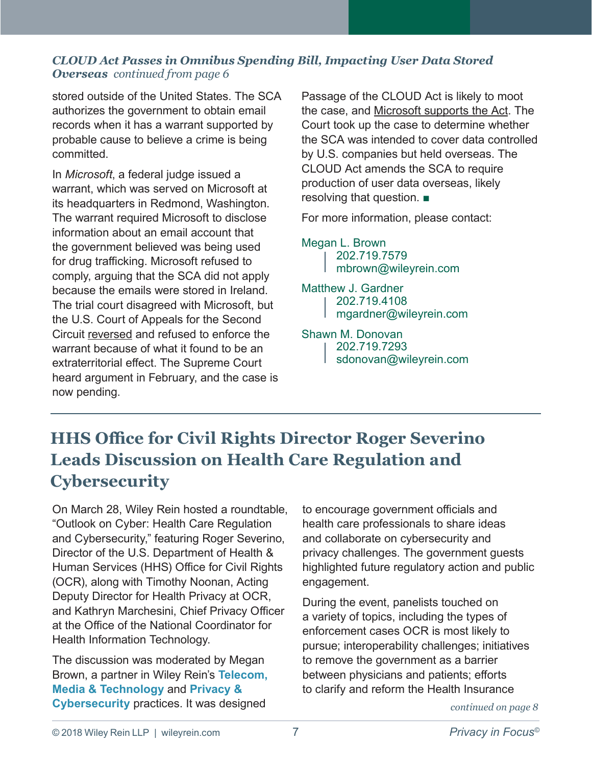#### <span id="page-6-0"></span>*CLOUD Act Passes in Omnibus Spending Bill, Impacting User Data Stored Overseas continued from page 6*

stored outside of the United States. The SCA authorizes the government to obtain email records when it has a warrant supported by probable cause to believe a crime is being committed.

In *Microsoft*, a federal judge issued a warrant, which was served on Microsoft at its headquarters in Redmond, Washington. The warrant required Microsoft to disclose information about an email account that the government believed was being used for drug trafficking. Microsoft refused to comply, arguing that the SCA did not apply because the emails were stored in Ireland. The trial court disagreed with Microsoft, but the U.S. Court of Appeals for the Second Circuit reversed and refused to enforce the warrant because of what it found to be an extraterritorial effect. The Supreme Court heard argument in February, and the case is now pending.

Passage of the CLOUD Act is likely to moot the case, and Microsoft supports the Act. The Court took up the case to determine whether the SCA was intended to cover data controlled by U.S. companies but held overseas. The CLOUD Act amends the SCA to require production of user data overseas, likely resolving that question. ■

For more information, please contact:

[Megan L. Brown](https://www.wileyrein.com/professionals-MeganBrown.html) 202.719.7579 mbrown[@wileyrein.com](mailto:mbrown%40wileyrein.com?subject=)

[Matthew J. Gardner](https://www.wileyrein.com/professionals-MattGardner.html) 202.719.4108 mgardne[r@wileyrein.com](mailto:mgardner%40wileyrein.com?subject=)

#### [Shawn M. Donovan](https://www.wileyrein.com/professionals-ShawnDonovan.html)

202.719.7293

sdonova[n@wileyrein.com](mailto:sdonovan%40wileyrein.com?subject=)

## **HHS Office for Civil Rights Director Roger Severino Leads Discussion on Health Care Regulation and Cybersecurity**

On March 28, Wiley Rein hosted a roundtable, "Outlook on Cyber: Health Care Regulation and Cybersecurity," featuring Roger Severino, Director of the U.S. Department of Health & Human Services (HHS) Office for Civil Rights (OCR), along with Timothy Noonan, Acting Deputy Director for Health Privacy at OCR, and Kathryn Marchesini, Chief Privacy Officer at the Office of the National Coordinator for Health Information Technology.

The discussion was moderated by [Megan](https://www.wileyrein.com/professionals-MeganBrown.html) [Brown](https://www.wileyrein.com/professionals-MeganBrown.html), a partner in Wiley Rein's **[Telecom,](https://www.wileyrein.com/practices-TelecomMediaTechnology.html)  [Media & Technology](https://www.wileyrein.com/practices-TelecomMediaTechnology.html)** and **[Privacy &](https://www.wileyrein.com/practices-privacy-cybersecurity.html)  [Cybersecurity](https://www.wileyrein.com/practices-privacy-cybersecurity.html)** practices. It was designed

to encourage government officials and health care professionals to share ideas and collaborate on cybersecurity and privacy challenges. The government guests highlighted future regulatory action and public engagement.

During the event, panelists touched on a variety of topics, including the types of enforcement cases OCR is most likely to pursue; interoperability challenges; initiatives to remove the government as a barrier between physicians and patients; efforts to clarify and reform the Health Insurance

*[continued on page](#page-7-0) 8*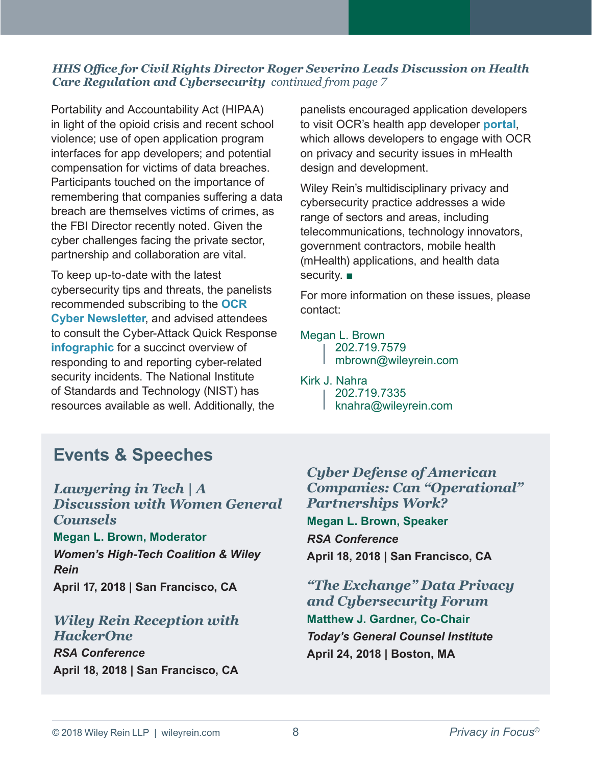#### <span id="page-7-0"></span>*HHS Office for Civil Rights Director Roger Severino Leads Discussion on Health Care Regulation and Cybersecurity continued from page 7*

Portability and Accountability Act (HIPAA) in light of the opioid crisis and recent school violence; use of open application program interfaces for app developers; and potential compensation for victims of data breaches. Participants touched on the importance of remembering that companies suffering a data breach are themselves victims of crimes, as the FBI Director recently noted. Given the cyber challenges facing the private sector, partnership and collaboration are vital.

To keep up-to-date with the latest cybersecurity tips and threats, the panelists recommended subscribing to the **[OCR](https://www.hhs.gov/hipaa/for-professionals/list-serve/index.html)  [Cyber Newsletter](https://www.hhs.gov/hipaa/for-professionals/list-serve/index.html)**, and advised attendees to consult the Cyber-Attack Quick Response **[infographic](https://www.hhs.gov/sites/default/files/cyber-attack-quick-response-infographic.gif)** for a succinct overview of responding to and reporting cyber-related security incidents. The National Institute of Standards and Technology (NIST) has resources available as well. Additionally, the

panelists encouraged application developers to visit OCR's health app developer **[portal](https://hipaaqsportal.hhs.gov/)**, which allows developers to engage with OCR on privacy and security issues in mHealth design and development.

Wiley Rein's multidisciplinary privacy and cybersecurity practice addresses a wide range of sectors and areas, including telecommunications, technology innovators, government contractors, mobile health (mHealth) applications, and health data security. ■

For more information on these issues, please contact:

#### [Megan L. Brown](https://www.wileyrein.com/professionals-MeganBrown.html)

- 202.719.7579
- mbrown[@wileyrein.com](mailto:jlin%40wileyrein.com?subject=)

#### [Kirk J. Nahra](https://www.wileyrein.com/professionals-KirkNahra.html)

- 202.719.7335
	- knahr[a@wileyrein.com](mailto:knahra%40wileyrein.com?subject=)

## **Events & Speeches**

*[Lawyering in Tech | A](https://comms.wileyrein.com/9/1970/april-2018/you-re-invited--lawyering-in-tech---a-discussion-with-women-general-counsels.asp)  [Discussion with Women General](https://comms.wileyrein.com/9/1970/april-2018/you-re-invited--lawyering-in-tech---a-discussion-with-women-general-counsels.asp)  [Counsels](https://comms.wileyrein.com/9/1970/april-2018/you-re-invited--lawyering-in-tech---a-discussion-with-women-general-counsels.asp)* **[Megan L. Brown](https://www.wileyrein.com/professionals-MeganBrown.html), Moderator** *Women's High-Tech Coalition & Wiley Rein*

**April 17, 2018 | San Francisco, CA**

#### *[Wiley Rein Reception with](https://comms.wileyrein.com/9/1934/april-2018/you-re-invited--cocktails-with-wiley-rein-llp-and-hackerone.asp)  [HackerOne](https://comms.wileyrein.com/9/1934/april-2018/you-re-invited--cocktails-with-wiley-rein-llp-and-hackerone.asp)*

*[RSA Conference](https://www.rsaconference.com/)* **April 18, 2018 | San Francisco, CA**

*[Cyber Defense of American](https://www.rsaconference.com/events/us18)  [Companies: Can "Operational"](https://www.rsaconference.com/events/us18)  [Partnerships Work?](https://www.rsaconference.com/events/us18)*  **[Megan L. Brown](https://www.wileyrein.com/professionals-MeganBrown.html), Speaker** *RSA Conference* **April 18, 2018 | San Francisco, CA**

*["The Exchange" Data Privacy](https://www.todaysgeneralcounsel.com/institute/cyber-boston/)  [and Cybersecurity Forum](https://www.todaysgeneralcounsel.com/institute/cyber-boston/)* **[Matthew J. Gardner](https://www.wileyrein.com/professionals-MattGardner.html), Co-Chair** *Today's General Counsel Institute* **April 24, 2018 | Boston, MA**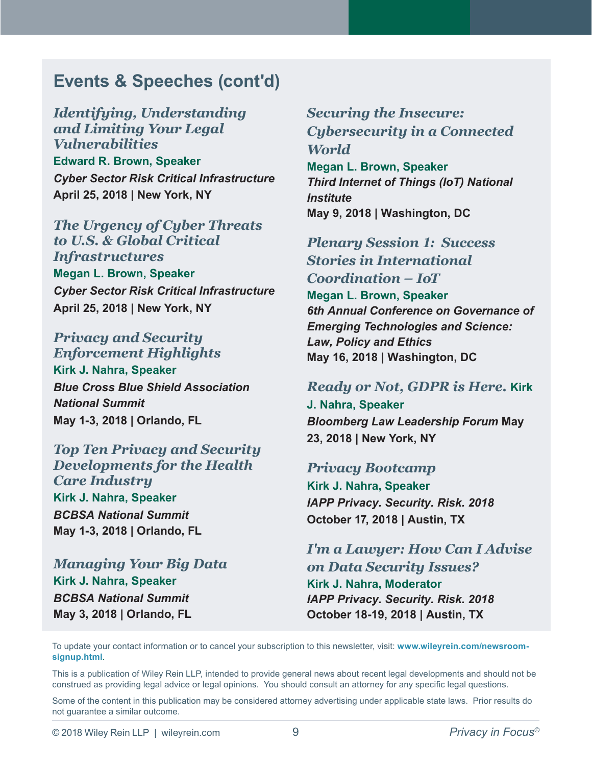## **Events & Speeches (cont'd)**

*[Identifying, Understanding](https://litigationconferences.com/critical-infrastructure-april-25-2018-new-york/)  [and Limiting Your Legal](https://litigationconferences.com/critical-infrastructure-april-25-2018-new-york/)  [Vulnerabilities](https://litigationconferences.com/critical-infrastructure-april-25-2018-new-york/)* **[Edward R. Brown](https://www.wileyrein.com/professionals-TedBrown.html), Speaker** *Cyber Sector Risk Critical Infrastructure* **April 25, 2018 | New York, NY** 

*[The Urgency of Cyber Threats](https://litigationconferences.com/critical-infrastructure-april-25-2018-new-york/)  [to U.S. & Global Critical](https://litigationconferences.com/critical-infrastructure-april-25-2018-new-york/)  [Infrastructures](https://litigationconferences.com/critical-infrastructure-april-25-2018-new-york/)* **[Megan L. Brown](https://www.wileyrein.com/professionals-MeganBrown.html), Speaker** *Cyber Sector Risk Critical Infrastructure* **April 25, 2018 | New York, NY**

*[Privacy and Security](http://s19.a2zinc.net/clients/BCBSA/BNS18/Public/Enter.aspx)  [Enforcement Highlights](http://s19.a2zinc.net/clients/BCBSA/BNS18/Public/Enter.aspx)* **[Kirk J. Nahra](https://www.wileyrein.com/professionals-KirkNahra.html), Speaker** *Blue Cross Blue Shield Association National Summit* **May 1-3, 2018 | Orlando, FL** 

*Top Ten Privacy and Security Developments for the Health Care Industry* **[Kirk J. Nahra](https://www.wileyrein.com/professionals-KirkNahra.html), Speaker** *BCBSA National Summit* **May 1-3, 2018 | Orlando, FL**

*[Managing Your Big Data](http://s19.a2zinc.net/clients/BCBSA/BNS18/Public/Enter.aspx)* **[Kirk J. Nahra](https://www.wileyrein.com/professionals-KirkNahra.html), Speaker** *BCBSA National Summit* **May 3, 2018 | Orlando, FL**

*[Securing the Insecure:](https://www.americanbar.org/content/dam/aba/events/cle/2018/spring/ce1805iot_agenda.authcheckdam.pdf) [Cybersecurity in a Connected](https://www.americanbar.org/content/dam/aba/events/cle/2018/spring/ce1805iot_agenda.authcheckdam.pdf) [World](https://www.americanbar.org/content/dam/aba/events/cle/2018/spring/ce1805iot_agenda.authcheckdam.pdf)* **[Megan L. Brown](https://www.wileyrein.com/professionals-MeganBrown.html), Speaker** *Third Internet of Things (IoT) National Institute* **May 9, 2018 | Washington, DC**

*[Plenary Session 1: Success](http://events.asucollegeoflaw.com/gets/program/)  Stories in Internat[io](https://www.wcl.american.edu/events/aslme/)nal Coordination – IoT* **Megan L. Brown, Speaker** *6th Annual Conference on Governance of Emerging Technologies and Science: Law, Policy and Ethics* **May 16, 2018 | Washington, DC**

#### *[Ready or Not, GDPR is Here.](https://www.bna.com/leadership-forum/)* **Kirk**

**J. Nahra, Speaker** *Bloomberg Law Leadership Forum* **May 23, 2018 | New York, NY** 

#### *[Privacy B](https://www.wileyrein.com/professionals-KirkNahra.html)[ootcamp](https://iapp.org/conference/privacy-security-risk/)*

**Kirk J. Nahra, Speaker** *IAPP Privacy. Security. Risk. 2018* **October 17, 2018 | Austin, TX** 

*[I'm a Lawyer: How Can I Advise](https://iapp.org/conference/privacy-security-risk/)  on [Data Security Issues?](https://www.wileyrein.com/professionals-KirkNahra.html)*  **Kirk J. Nahra, Moderator** *IAPP Privacy. Security. Risk. 2018*  **October 18-19, 2018 | Austin, TX**

To update your contact information or to cancel your subscription to this newsletter, visit: **[www.wileyrein.com/](http://www.wileyrein.com/newsroom-signup.html)newsroo[m](http://www.wileyrein.com/newsroom-signup.html)[signup.html](http://www.wileyrein.com/newsroom-signup.html)**.

This is a publication of Wiley Rein LLP, intended to provide general news about recent legal developments and should not be construed as providing legal advice or legal opinions. You should consult an attorney for any specific legal questions.

Some of the content in this publication may be considered attorney advertising under applicable state laws. Prior results do not guarantee a similar outcome.